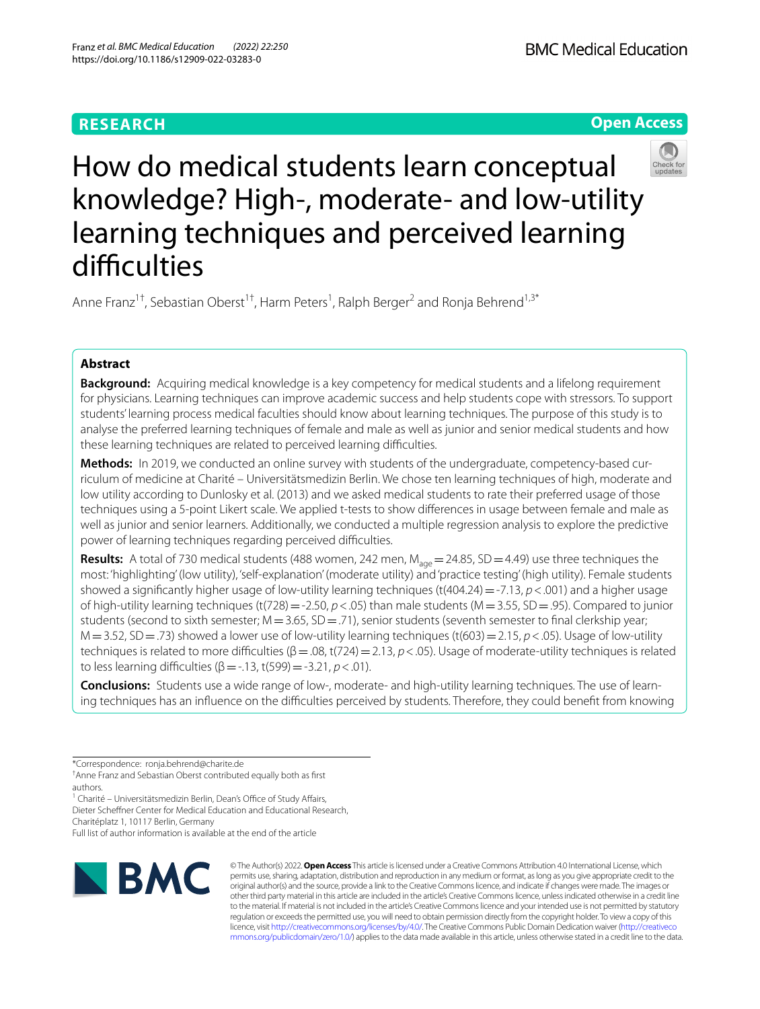# **RESEARCH**





# How do medical students learn conceptual knowledge? High-, moderate- and low-utility learning techniques and perceived learning difficulties

Anne Franz<sup>1†</sup>, Sebastian Oberst<sup>1†</sup>, Harm Peters<sup>1</sup>, Ralph Berger<sup>2</sup> and Ronja Behrend<sup>1,3\*</sup>

# **Abstract**

**Background:** Acquiring medical knowledge is a key competency for medical students and a lifelong requirement for physicians. Learning techniques can improve academic success and help students cope with stressors. To support students' learning process medical faculties should know about learning techniques. The purpose of this study is to analyse the preferred learning techniques of female and male as well as junior and senior medical students and how these learning techniques are related to perceived learning difficulties.

**Methods:** In 2019, we conducted an online survey with students of the undergraduate, competency-based curriculum of medicine at Charité – Universitätsmedizin Berlin. We chose ten learning techniques of high, moderate and low utility according to Dunlosky et al. (2013) and we asked medical students to rate their preferred usage of those techniques using a 5-point Likert scale. We applied t-tests to show diferences in usage between female and male as well as junior and senior learners. Additionally, we conducted a multiple regression analysis to explore the predictive power of learning techniques regarding perceived difficulties.

**Results:** A total of 730 medical students (488 women, 242 men, M<sub>age</sub> = 24.85, SD = 4.49) use three techniques the most: 'highlighting' (low utility), 'self-explanation' (moderate utility) and 'practice testing' (high utility). Female students showed a significantly higher usage of low-utility learning techniques (t(404.24) = -7.13,  $p < .001$ ) and a higher usage of high-utility learning techniques (t(728)=-2.50, *p*<.05) than male students (M=3.55, SD=.95). Compared to junior students (second to sixth semester;  $M = 3.65$ ,  $SD = .71$ ), senior students (seventh semester to final clerkship year; M=3.52, SD=.73) showed a lower use of low-utility learning techniques (t(603)=2.15, *p*<.05). Usage of low-utility techniques is related to more difculties (β=.08, t(724)=2.13, *p*<.05). Usage of moderate-utility techniques is related to less learning difficulties  $(β = -13, t(599) = -3.21, p < .01)$ .

**Conclusions:** Students use a wide range of low-, moderate- and high-utility learning techniques. The use of learning techniques has an influence on the difficulties perceived by students. Therefore, they could benefit from knowing

<sup>1</sup> Charité - Universitätsmedizin Berlin, Dean's Office of Study Affairs,

Dieter Schefner Center for Medical Education and Educational Research,

Charitéplatz 1, 10117 Berlin, Germany

Full list of author information is available at the end of the article



© The Author(s) 2022. **Open Access** This article is licensed under a Creative Commons Attribution 4.0 International License, which permits use, sharing, adaptation, distribution and reproduction in any medium or format, as long as you give appropriate credit to the original author(s) and the source, provide a link to the Creative Commons licence, and indicate if changes were made. The images or other third party material in this article are included in the article's Creative Commons licence, unless indicated otherwise in a credit line to the material. If material is not included in the article's Creative Commons licence and your intended use is not permitted by statutory regulation or exceeds the permitted use, you will need to obtain permission directly from the copyright holder. To view a copy of this licence, visit [http://creativecommons.org/licenses/by/4.0/.](http://creativecommons.org/licenses/by/4.0/) The Creative Commons Public Domain Dedication waiver ([http://creativeco](http://creativecommons.org/publicdomain/zero/1.0/) [mmons.org/publicdomain/zero/1.0/](http://creativecommons.org/publicdomain/zero/1.0/)) applies to the data made available in this article, unless otherwise stated in a credit line to the data.

<sup>\*</sup>Correspondence: ronja.behrend@charite.de

<sup>†</sup> Anne Franz and Sebastian Oberst contributed equally both as frst authors.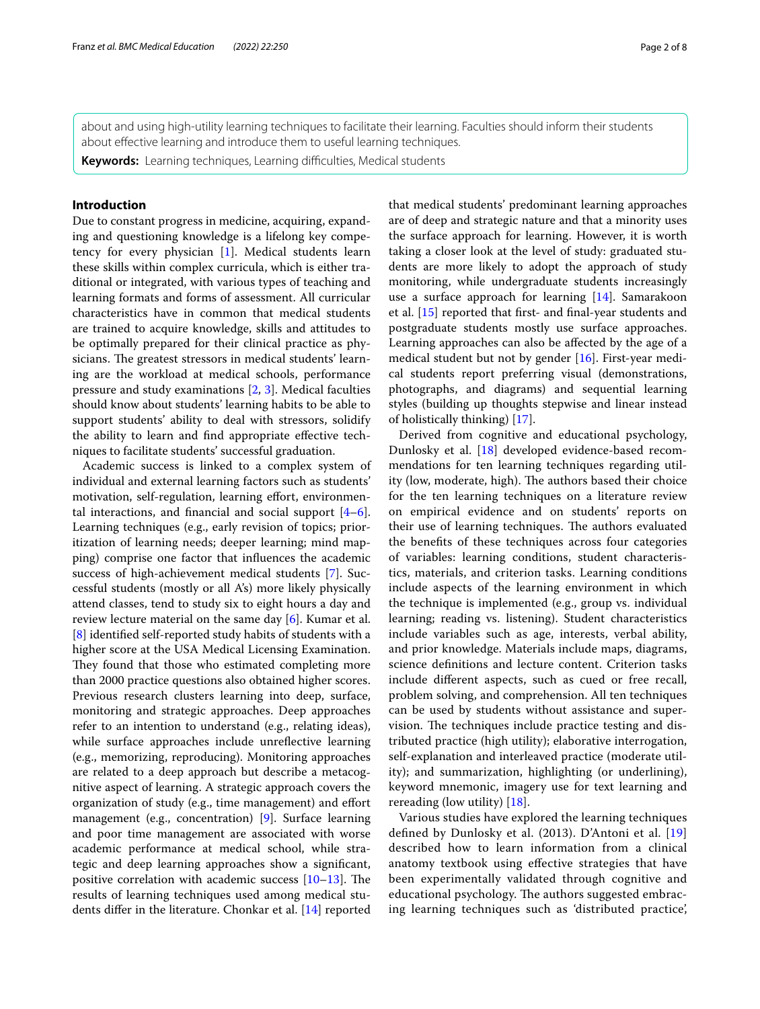about and using high-utility learning techniques to facilitate their learning. Faculties should inform their students about efective learning and introduce them to useful learning techniques.

Keywords: Learning techniques, Learning difficulties, Medical students

# **Introduction**

Due to constant progress in medicine, acquiring, expanding and questioning knowledge is a lifelong key competency for every physician [[1\]](#page-6-0). Medical students learn these skills within complex curricula, which is either traditional or integrated, with various types of teaching and learning formats and forms of assessment. All curricular characteristics have in common that medical students are trained to acquire knowledge, skills and attitudes to be optimally prepared for their clinical practice as physicians. The greatest stressors in medical students' learning are the workload at medical schools, performance pressure and study examinations [\[2](#page-6-1), [3](#page-6-2)]. Medical faculties should know about students' learning habits to be able to support students' ability to deal with stressors, solidify the ability to learn and fnd appropriate efective techniques to facilitate students' successful graduation.

Academic success is linked to a complex system of individual and external learning factors such as students' motivation, self-regulation, learning effort, environmental interactions, and financial and social support  $[4-6]$  $[4-6]$ . Learning techniques (e.g., early revision of topics; prioritization of learning needs; deeper learning; mind mapping) comprise one factor that infuences the academic success of high-achievement medical students [\[7](#page-6-5)]. Successful students (mostly or all A's) more likely physically attend classes, tend to study six to eight hours a day and review lecture material on the same day [[6\]](#page-6-4). Kumar et al. [[8\]](#page-6-6) identifed self-reported study habits of students with a higher score at the USA Medical Licensing Examination. They found that those who estimated completing more than 2000 practice questions also obtained higher scores. Previous research clusters learning into deep, surface, monitoring and strategic approaches. Deep approaches refer to an intention to understand (e.g., relating ideas), while surface approaches include unrefective learning (e.g., memorizing, reproducing). Monitoring approaches are related to a deep approach but describe a metacognitive aspect of learning. A strategic approach covers the organization of study (e.g., time management) and efort management (e.g., concentration) [[9\]](#page-6-7). Surface learning and poor time management are associated with worse academic performance at medical school, while strategic and deep learning approaches show a signifcant, positive correlation with academic success  $[10-13]$  $[10-13]$  $[10-13]$ . The results of learning techniques used among medical students difer in the literature. Chonkar et al. [\[14](#page-6-10)] reported that medical students' predominant learning approaches are of deep and strategic nature and that a minority uses the surface approach for learning. However, it is worth taking a closer look at the level of study: graduated students are more likely to adopt the approach of study monitoring, while undergraduate students increasingly use a surface approach for learning [\[14](#page-6-10)]. Samarakoon et al. [[15](#page-6-11)] reported that frst- and fnal-year students and postgraduate students mostly use surface approaches. Learning approaches can also be afected by the age of a medical student but not by gender [[16\]](#page-6-12). First-year medical students report preferring visual (demonstrations, photographs, and diagrams) and sequential learning styles (building up thoughts stepwise and linear instead of holistically thinking) [[17](#page-6-13)].

Derived from cognitive and educational psychology, Dunlosky et al. [\[18](#page-6-14)] developed evidence-based recommendations for ten learning techniques regarding utility (low, moderate, high). The authors based their choice for the ten learning techniques on a literature review on empirical evidence and on students' reports on their use of learning techniques. The authors evaluated the benefts of these techniques across four categories of variables: learning conditions, student characteristics, materials, and criterion tasks. Learning conditions include aspects of the learning environment in which the technique is implemented (e.g., group vs. individual learning; reading vs. listening). Student characteristics include variables such as age, interests, verbal ability, and prior knowledge. Materials include maps, diagrams, science defnitions and lecture content. Criterion tasks include diferent aspects, such as cued or free recall, problem solving, and comprehension. All ten techniques can be used by students without assistance and supervision. The techniques include practice testing and distributed practice (high utility); elaborative interrogation, self-explanation and interleaved practice (moderate utility); and summarization, highlighting (or underlining), keyword mnemonic, imagery use for text learning and rereading (low utility) [\[18](#page-6-14)].

Various studies have explored the learning techniques defned by Dunlosky et al. (2013). D'Antoni et al. [\[19](#page-7-0)] described how to learn information from a clinical anatomy textbook using efective strategies that have been experimentally validated through cognitive and educational psychology. The authors suggested embracing learning techniques such as 'distributed practice',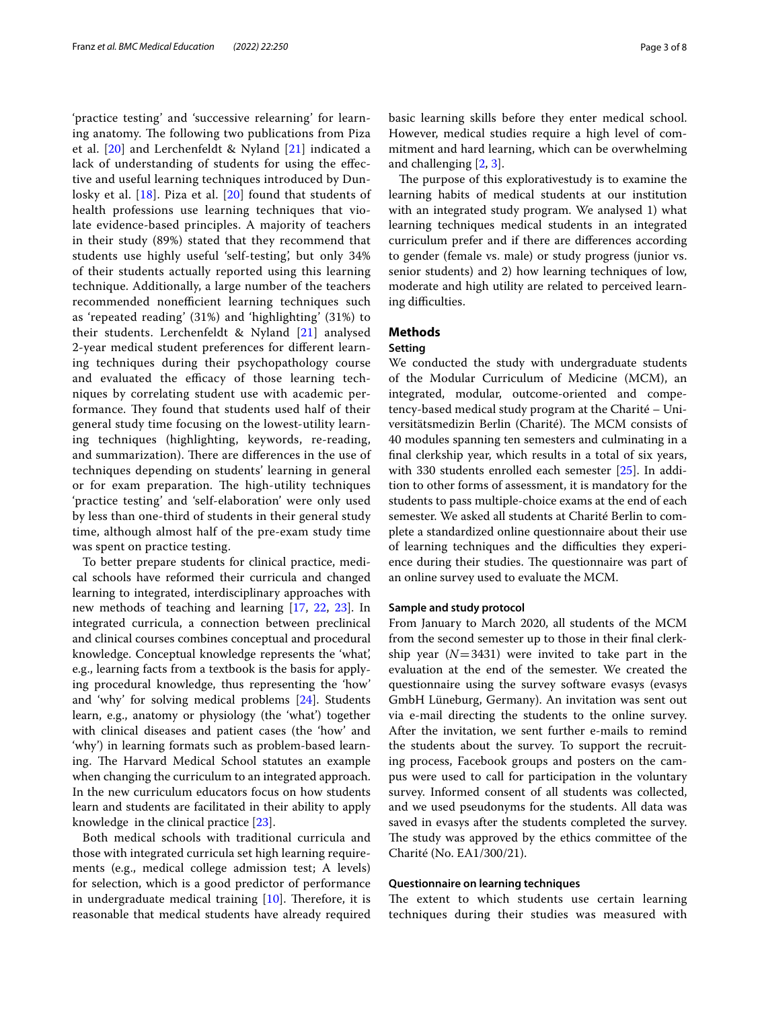'practice testing' and 'successive relearning' for learning anatomy. The following two publications from Piza et al. [[20\]](#page-7-1) and Lerchenfeldt & Nyland [\[21](#page-7-2)] indicated a lack of understanding of students for using the efective and useful learning techniques introduced by Dunlosky et al. [[18\]](#page-6-14). Piza et al. [[20](#page-7-1)] found that students of health professions use learning techniques that violate evidence-based principles. A majority of teachers in their study (89%) stated that they recommend that students use highly useful 'self-testing', but only 34% of their students actually reported using this learning technique. Additionally, a large number of the teachers recommended nonefficient learning techniques such as 'repeated reading' (31%) and 'highlighting' (31%) to their students. Lerchenfeldt & Nyland [[21\]](#page-7-2) analysed 2-year medical student preferences for diferent learning techniques during their psychopathology course and evaluated the efficacy of those learning techniques by correlating student use with academic performance. They found that students used half of their general study time focusing on the lowest-utility learning techniques (highlighting, keywords, re-reading, and summarization). There are differences in the use of techniques depending on students' learning in general or for exam preparation. The high-utility techniques 'practice testing' and 'self-elaboration' were only used by less than one-third of students in their general study time, although almost half of the pre-exam study time was spent on practice testing.

To better prepare students for clinical practice, medical schools have reformed their curricula and changed learning to integrated, interdisciplinary approaches with new methods of teaching and learning [[17,](#page-6-13) [22,](#page-7-3) [23](#page-7-4)]. In integrated curricula, a connection between preclinical and clinical courses combines conceptual and procedural knowledge. Conceptual knowledge represents the 'what', e.g., learning facts from a textbook is the basis for applying procedural knowledge, thus representing the 'how' and 'why' for solving medical problems [[24\]](#page-7-5). Students learn, e.g., anatomy or physiology (the 'what') together with clinical diseases and patient cases (the 'how' and 'why') in learning formats such as problem-based learning. The Harvard Medical School statutes an example when changing the curriculum to an integrated approach. In the new curriculum educators focus on how students learn and students are facilitated in their ability to apply knowledge in the clinical practice [[23\]](#page-7-4).

Both medical schools with traditional curricula and those with integrated curricula set high learning requirements (e.g., medical college admission test; A levels) for selection, which is a good predictor of performance in undergraduate medical training  $[10]$  $[10]$ . Therefore, it is reasonable that medical students have already required basic learning skills before they enter medical school. However, medical studies require a high level of commitment and hard learning, which can be overwhelming and challenging [\[2](#page-6-1), [3](#page-6-2)].

The purpose of this explorativestudy is to examine the learning habits of medical students at our institution with an integrated study program. We analysed 1) what learning techniques medical students in an integrated curriculum prefer and if there are diferences according to gender (female vs. male) or study progress (junior vs. senior students) and 2) how learning techniques of low, moderate and high utility are related to perceived learning difficulties.

# **Methods**

# **Setting**

We conducted the study with undergraduate students of the Modular Curriculum of Medicine (MCM), an integrated, modular, outcome-oriented and competency-based medical study program at the Charité – Universitätsmedizin Berlin (Charité). The MCM consists of 40 modules spanning ten semesters and culminating in a fnal clerkship year, which results in a total of six years, with 330 students enrolled each semester [\[25\]](#page-7-6). In addition to other forms of assessment, it is mandatory for the students to pass multiple-choice exams at the end of each semester. We asked all students at Charité Berlin to complete a standardized online questionnaire about their use of learning techniques and the difficulties they experience during their studies. The questionnaire was part of an online survey used to evaluate the MCM.

## **Sample and study protocol**

From January to March 2020, all students of the MCM from the second semester up to those in their fnal clerkship year  $(N=3431)$  were invited to take part in the evaluation at the end of the semester. We created the questionnaire using the survey software evasys (evasys GmbH Lüneburg, Germany). An invitation was sent out via e-mail directing the students to the online survey. After the invitation, we sent further e-mails to remind the students about the survey. To support the recruiting process, Facebook groups and posters on the campus were used to call for participation in the voluntary survey. Informed consent of all students was collected, and we used pseudonyms for the students. All data was saved in evasys after the students completed the survey. The study was approved by the ethics committee of the Charité (No. EA1/300/21).

### **Questionnaire on learning techniques**

The extent to which students use certain learning techniques during their studies was measured with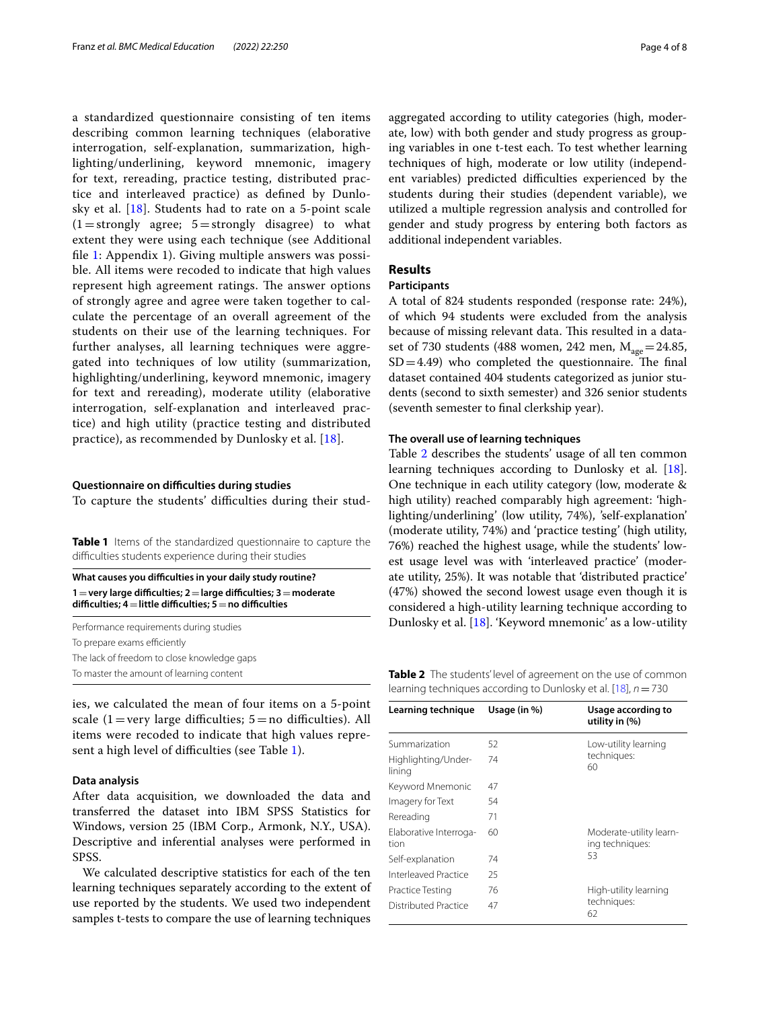a standardized questionnaire consisting of ten items describing common learning techniques (elaborative interrogation, self-explanation, summarization, highlighting/underlining, keyword mnemonic, imagery for text, rereading, practice testing, distributed practice and interleaved practice) as defned by Dunlosky et al. [[18](#page-6-14)]. Students had to rate on a 5-point scale  $(1=$ strongly agree;  $5=$ strongly disagree) to what extent they were using each technique (see Additional fle [1:](#page-6-15) Appendix 1). Giving multiple answers was possible. All items were recoded to indicate that high values represent high agreement ratings. The answer options of strongly agree and agree were taken together to calculate the percentage of an overall agreement of the students on their use of the learning techniques. For further analyses, all learning techniques were aggregated into techniques of low utility (summarization, highlighting/underlining, keyword mnemonic, imagery for text and rereading), moderate utility (elaborative interrogation, self-explanation and interleaved practice) and high utility (practice testing and distributed practice), as recommended by Dunlosky et al. [[18](#page-6-14)].

#### **Questionnaire on difculties during studies**

To capture the students' difficulties during their stud-

<span id="page-3-0"></span>**Table 1** Items of the standardized questionnaire to capture the difculties students experience during their studies

What causes you difficulties in your daily study routine? **1**=**very large difculties; 2**=**large difculties; 3**=**moderate difculties; 4**=**little difculties; 5**=**no difculties**

Performance requirements during studies To prepare exams efficiently The lack of freedom to close knowledge gaps

ies, we calculated the mean of four items on a 5-point scale (1 = very large difficulties;  $5 = no$  difficulties). All items were recoded to indicate that high values repre-sent a high level of difficulties (see Table [1](#page-3-0)).

# **Data analysis**

After data acquisition, we downloaded the data and transferred the dataset into IBM SPSS Statistics for Windows, version 25 (IBM Corp., Armonk, N.Y., USA). Descriptive and inferential analyses were performed in SPSS.

We calculated descriptive statistics for each of the ten learning techniques separately according to the extent of use reported by the students. We used two independent samples t-tests to compare the use of learning techniques aggregated according to utility categories (high, moderate, low) with both gender and study progress as grouping variables in one t-test each. To test whether learning techniques of high, moderate or low utility (independent variables) predicted difficulties experienced by the students during their studies (dependent variable), we utilized a multiple regression analysis and controlled for gender and study progress by entering both factors as additional independent variables.

# **Results**

## **Participants**

A total of 824 students responded (response rate: 24%), of which 94 students were excluded from the analysis because of missing relevant data. This resulted in a dataset of 730 students (488 women, 242 men,  $M_{\text{age}}=24.85$ ,  $SD = 4.49$ ) who completed the questionnaire. The final dataset contained 404 students categorized as junior students (second to sixth semester) and 326 senior students (seventh semester to fnal clerkship year).

#### **The overall use of learning techniques**

Table [2](#page-3-1) describes the students' usage of all ten common learning techniques according to Dunlosky et al. [\[18](#page-6-14)]. One technique in each utility category (low, moderate & high utility) reached comparably high agreement: 'highlighting/underlining' (low utility, 74%), 'self-explanation' (moderate utility, 74%) and 'practice testing' (high utility, 76%) reached the highest usage, while the students' lowest usage level was with 'interleaved practice' (moderate utility, 25%). It was notable that 'distributed practice' (47%) showed the second lowest usage even though it is considered a high-utility learning technique according to Dunlosky et al. [\[18\]](#page-6-14). 'Keyword mnemonic' as a low-utility

To master the amount of learning content **Table 2** The students' level of agreement on the use of common learning techniques according to Dunlosky et al. [[18\]](#page-6-14), *n*=730

<span id="page-3-1"></span>

| Learning technique             | Usage (in %) | Usage according to<br>utility in $(\%)$          |
|--------------------------------|--------------|--------------------------------------------------|
|                                |              |                                                  |
| Summarization                  | 52           | Low-utility learning<br>techniques:<br>60        |
| Highlighting/Under-<br>lining  | 74           |                                                  |
| Keyword Mnemonic               | 47           |                                                  |
| Imagery for Text               | 54           |                                                  |
| Rereading                      | 71           |                                                  |
| Elaborative Interroga-<br>tion | 60           | Moderate-utility learn-<br>ing techniques:<br>53 |
| Self-explanation               | 74           |                                                  |
| Interleaved Practice           | 25           |                                                  |
| Practice Testing               | 76           | High-utility learning<br>techniques:<br>62       |
| Distributed Practice           | 47           |                                                  |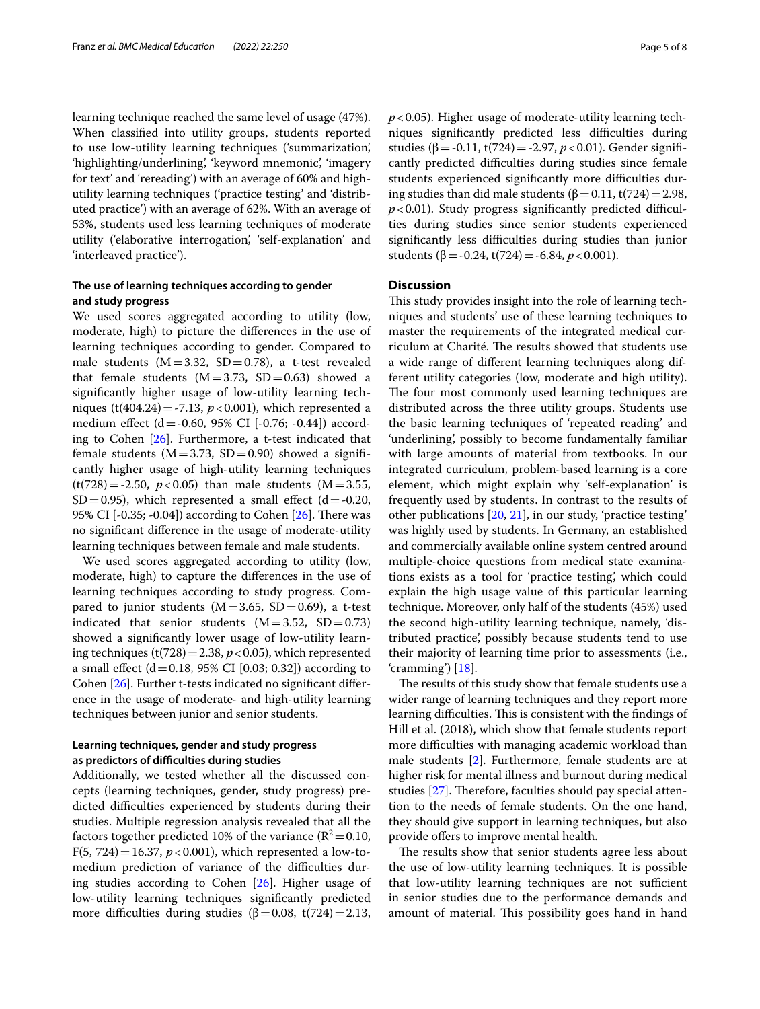learning technique reached the same level of usage (47%). When classifed into utility groups, students reported to use low-utility learning techniques ('summarization', 'highlighting/underlining', 'keyword mnemonic', 'imagery for text' and 'rereading') with an average of 60% and highutility learning techniques ('practice testing' and 'distributed practice') with an average of 62%. With an average of 53%, students used less learning techniques of moderate utility ('elaborative interrogation', 'self-explanation' and 'interleaved practice').

# **The use of learning techniques according to gender and study progress**

We used scores aggregated according to utility (low, moderate, high) to picture the diferences in the use of learning techniques according to gender. Compared to male students ( $M = 3.32$ ,  $SD = 0.78$ ), a t-test revealed that female students  $(M=3.73, SD=0.63)$  showed a signifcantly higher usage of low-utility learning techniques (t(404.24) = -7.13,  $p < 0.001$ ), which represented a medium effect (d = -0.60, 95% CI [-0.76; -0.44]) according to Cohen [\[26](#page-7-7)]. Furthermore, a t-test indicated that female students ( $M = 3.73$ ,  $SD = 0.90$ ) showed a significantly higher usage of high-utility learning techniques  $(t(728) = -2.50, p < 0.05)$  than male students (M = 3.55,  $SD = 0.95$ ), which represented a small effect (d = -0.20, 95% CI  $[-0.35; -0.04]$  according to Cohen  $[26]$  $[26]$ . There was no signifcant diference in the usage of moderate-utility learning techniques between female and male students.

We used scores aggregated according to utility (low, moderate, high) to capture the diferences in the use of learning techniques according to study progress. Compared to junior students ( $M=3.65$ ,  $SD=0.69$ ), a t-test indicated that senior students  $(M=3.52, SD=0.73)$ showed a signifcantly lower usage of low-utility learning techniques (t(728) = 2.38,  $p$  < 0.05), which represented a small effect  $(d=0.18, 95\% \text{ CI } [0.03; 0.32])$  according to Cohen [\[26](#page-7-7)]. Further t-tests indicated no signifcant diference in the usage of moderate- and high-utility learning techniques between junior and senior students.

# **Learning techniques, gender and study progress as predictors of difculties during studies**

Additionally, we tested whether all the discussed concepts (learning techniques, gender, study progress) predicted difficulties experienced by students during their studies. Multiple regression analysis revealed that all the factors together predicted 10% of the variance ( $R^2$  = 0.10, F(5, 724) = 16.37,  $p < 0.001$ ), which represented a low-tomedium prediction of variance of the difficulties during studies according to Cohen [\[26](#page-7-7)]. Higher usage of low-utility learning techniques signifcantly predicted more difficulties during studies ( $\beta$ =0.08, t(724)=2.13, *p*<0.05). Higher usage of moderate-utility learning techniques significantly predicted less difficulties during studies (β = -0.11, t(724) = -2.97,  $p < 0.01$ ). Gender significantly predicted difficulties during studies since female students experienced significantly more difficulties during studies than did male students ( $β = 0.11$ , t(724) = 2.98,  $p$ <0.01). Study progress significantly predicted difficulties during studies since senior students experienced significantly less difficulties during studies than junior students ( $\beta$  = -0.24, t(724) = -6.84, *p* < 0.001).

# **Discussion**

This study provides insight into the role of learning techniques and students' use of these learning techniques to master the requirements of the integrated medical curriculum at Charité. The results showed that students use a wide range of diferent learning techniques along different utility categories (low, moderate and high utility). The four most commonly used learning techniques are distributed across the three utility groups. Students use the basic learning techniques of 'repeated reading' and 'underlining', possibly to become fundamentally familiar with large amounts of material from textbooks. In our integrated curriculum, problem-based learning is a core element, which might explain why 'self-explanation' is frequently used by students. In contrast to the results of other publications [\[20,](#page-7-1) [21\]](#page-7-2), in our study, 'practice testing' was highly used by students. In Germany, an established and commercially available online system centred around multiple-choice questions from medical state examinations exists as a tool for 'practice testing', which could explain the high usage value of this particular learning technique. Moreover, only half of the students (45%) used the second high-utility learning technique, namely, 'distributed practice', possibly because students tend to use their majority of learning time prior to assessments (i.e., 'cramming') [\[18\]](#page-6-14).

The results of this study show that female students use a wider range of learning techniques and they report more learning difficulties. This is consistent with the findings of Hill et al. (2018), which show that female students report more difficulties with managing academic workload than male students [[2\]](#page-6-1). Furthermore, female students are at higher risk for mental illness and burnout during medical studies [[27\]](#page-7-8). Therefore, faculties should pay special attention to the needs of female students. On the one hand, they should give support in learning techniques, but also provide ofers to improve mental health.

The results show that senior students agree less about the use of low-utility learning techniques. It is possible that low-utility learning techniques are not sufficient in senior studies due to the performance demands and amount of material. This possibility goes hand in hand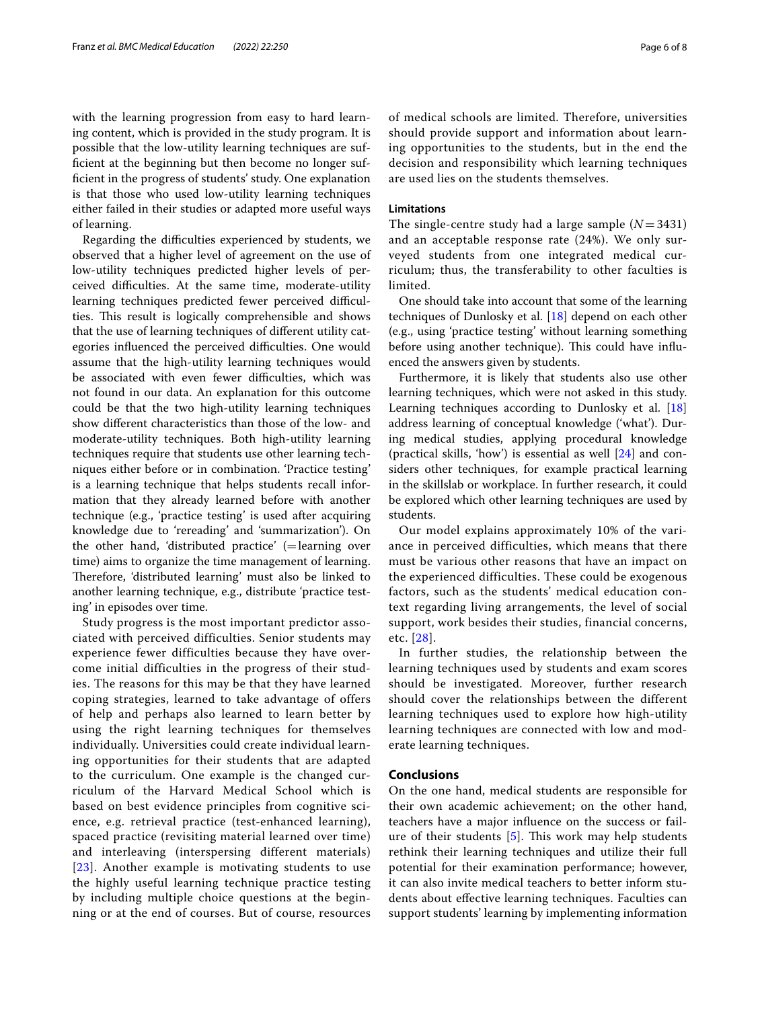with the learning progression from easy to hard learning content, which is provided in the study program. It is possible that the low-utility learning techniques are suffcient at the beginning but then become no longer suffcient in the progress of students' study. One explanation is that those who used low-utility learning techniques either failed in their studies or adapted more useful ways of learning.

Regarding the difficulties experienced by students, we observed that a higher level of agreement on the use of low-utility techniques predicted higher levels of perceived difculties. At the same time, moderate-utility learning techniques predicted fewer perceived difficulties. This result is logically comprehensible and shows that the use of learning techniques of diferent utility categories influenced the perceived difficulties. One would assume that the high-utility learning techniques would be associated with even fewer difficulties, which was not found in our data. An explanation for this outcome could be that the two high-utility learning techniques show diferent characteristics than those of the low- and moderate-utility techniques. Both high-utility learning techniques require that students use other learning techniques either before or in combination. 'Practice testing' is a learning technique that helps students recall information that they already learned before with another technique (e.g., 'practice testing' is used after acquiring knowledge due to 'rereading' and 'summarization'). On the other hand, 'distributed practice' (=learning over time) aims to organize the time management of learning. Therefore, 'distributed learning' must also be linked to another learning technique, e.g., distribute 'practice testing' in episodes over time.

Study progress is the most important predictor associated with perceived difficulties. Senior students may experience fewer difficulties because they have overcome initial difficulties in the progress of their studies. The reasons for this may be that they have learned coping strategies, learned to take advantage of offers of help and perhaps also learned to learn better by using the right learning techniques for themselves individually. Universities could create individual learning opportunities for their students that are adapted to the curriculum. One example is the changed curriculum of the Harvard Medical School which is based on best evidence principles from cognitive science, e.g. retrieval practice (test-enhanced learning), spaced practice (revisiting material learned over time) and interleaving (interspersing different materials) [[23](#page-7-4)]. Another example is motivating students to use the highly useful learning technique practice testing by including multiple choice questions at the beginning or at the end of courses. But of course, resources of medical schools are limited. Therefore, universities should provide support and information about learning opportunities to the students, but in the end the decision and responsibility which learning techniques are used lies on the students themselves.

# **Limitations**

The single-centre study had a large sample  $(N = 3431)$ and an acceptable response rate (24%). We only surveyed students from one integrated medical curriculum; thus, the transferability to other faculties is limited.

One should take into account that some of the learning techniques of Dunlosky et al. [[18\]](#page-6-14) depend on each other (e.g., using 'practice testing' without learning something before using another technique). This could have influenced the answers given by students.

Furthermore, it is likely that students also use other learning techniques, which were not asked in this study. Learning techniques according to Dunlosky et al. [[18](#page-6-14)] address learning of conceptual knowledge ('what'). During medical studies, applying procedural knowledge (practical skills, 'how') is essential as well [[24\]](#page-7-5) and considers other techniques, for example practical learning in the skillslab or workplace. In further research, it could be explored which other learning techniques are used by students.

Our model explains approximately 10% of the variance in perceived difficulties, which means that there must be various other reasons that have an impact on the experienced difficulties. These could be exogenous factors, such as the students' medical education context regarding living arrangements, the level of social support, work besides their studies, financial concerns, etc. [[28](#page-7-9)].

In further studies, the relationship between the learning techniques used by students and exam scores should be investigated. Moreover, further research should cover the relationships between the different learning techniques used to explore how high-utility learning techniques are connected with low and moderate learning techniques.

#### **Conclusions**

On the one hand, medical students are responsible for their own academic achievement; on the other hand, teachers have a major infuence on the success or failure of their students  $[5]$  $[5]$  $[5]$ . This work may help students rethink their learning techniques and utilize their full potential for their examination performance; however, it can also invite medical teachers to better inform students about efective learning techniques. Faculties can support students' learning by implementing information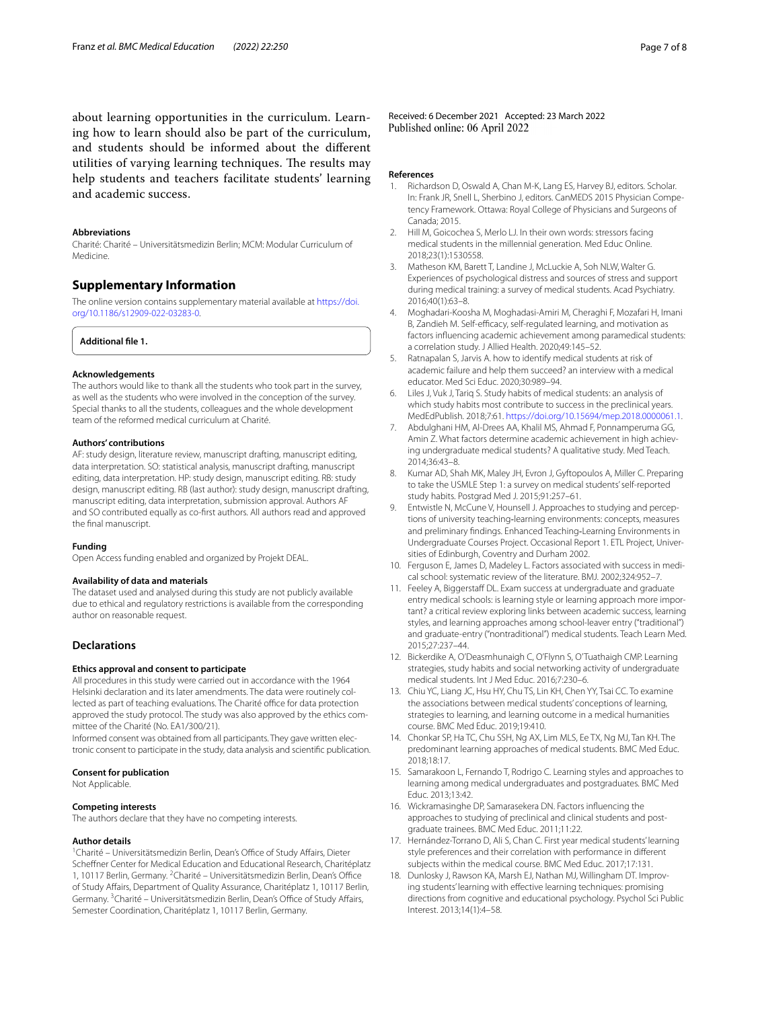about learning opportunities in the curriculum. Learning how to learn should also be part of the curriculum, and students should be informed about the diferent utilities of varying learning techniques. The results may help students and teachers facilitate students' learning and academic success.

### **Abbreviations**

Charité: Charité – Universitätsmedizin Berlin; MCM: Modular Curriculum of Medicine.

# **Supplementary Information**

The online version contains supplementary material available at [https://doi.](https://doi.org/10.1186/s12909-022-03283-0) [org/10.1186/s12909-022-03283-0](https://doi.org/10.1186/s12909-022-03283-0).

<span id="page-6-15"></span>**Additional fle 1.**

#### **Acknowledgements**

The authors would like to thank all the students who took part in the survey, as well as the students who were involved in the conception of the survey. Special thanks to all the students, colleagues and the whole development team of the reformed medical curriculum at Charité.

#### **Authors' contributions**

AF: study design, literature review, manuscript drafting, manuscript editing, data interpretation. SO: statistical analysis, manuscript drafting, manuscript editing, data interpretation. HP: study design, manuscript editing. RB: study design, manuscript editing. RB (last author): study design, manuscript drafting, manuscript editing, data interpretation, submission approval. Authors AF and SO contributed equally as co-frst authors. All authors read and approved the fnal manuscript.

#### **Funding**

Open Access funding enabled and organized by Projekt DEAL.

#### **Availability of data and materials**

The dataset used and analysed during this study are not publicly available due to ethical and regulatory restrictions is available from the corresponding author on reasonable request.

## **Declarations**

#### **Ethics approval and consent to participate**

All procedures in this study were carried out in accordance with the 1964 Helsinki declaration and its later amendments. The data were routinely collected as part of teaching evaluations. The Charité office for data protection approved the study protocol. The study was also approved by the ethics committee of the Charité (No. EA1/300/21).

Informed consent was obtained from all participants. They gave written electronic consent to participate in the study, data analysis and scientifc publication.

#### **Consent for publication**

Not Applicable.

#### **Competing interests**

The authors declare that they have no competing interests.

#### **Author details**

<sup>1</sup> Charité - Universitätsmedizin Berlin, Dean's Office of Study Affairs, Dieter Schefner Center for Medical Education and Educational Research, Charitéplatz 1, 10117 Berlin, Germany. <sup>2</sup> Charité - Universitätsmedizin Berlin, Dean's Office of Study Afairs, Department of Quality Assurance, Charitéplatz 1, 10117 Berlin, Germany.<sup>3</sup> Charité – Universitätsmedizin Berlin, Dean's Office of Study Affairs, Semester Coordination, Charitéplatz 1, 10117 Berlin, Germany.

Received: 6 December 2021 Accepted: 23 March 2022 Published online: 06 April 2022

#### **References**

- <span id="page-6-0"></span>1. Richardson D, Oswald A, Chan M-K, Lang ES, Harvey BJ, editors. Scholar. In: Frank JR, Snell L, Sherbino J, editors. CanMEDS 2015 Physician Competency Framework. Ottawa: Royal College of Physicians and Surgeons of Canada; 2015.
- <span id="page-6-1"></span>2. Hill M, Goicochea S, Merlo LJ. In their own words: stressors facing medical students in the millennial generation. Med Educ Online. 2018;23(1):1530558.
- <span id="page-6-2"></span>3. Matheson KM, Barett T, Landine J, McLuckie A, Soh NLW, Walter G. Experiences of psychological distress and sources of stress and support during medical training: a survey of medical students. Acad Psychiatry. 2016;40(1):63–8.
- <span id="page-6-3"></span>4. Moghadari-Koosha M, Moghadasi-Amiri M, Cheraghi F, Mozafari H, Imani B, Zandieh M. Self-efficacy, self-regulated learning, and motivation as factors infuencing academic achievement among paramedical students: a correlation study. J Allied Health. 2020;49:145–52.
- <span id="page-6-16"></span>5. Ratnapalan S, Jarvis A. how to identify medical students at risk of academic failure and help them succeed? an interview with a medical educator. Med Sci Educ. 2020;30:989–94.
- <span id="page-6-4"></span>6. Liles J, Vuk J, Tariq S. Study habits of medical students: an analysis of which study habits most contribute to success in the preclinical years. MedEdPublish. 2018;7:61. [https://doi.org/10.15694/mep.2018.0000061.1.](https://doi.org/10.15694/mep.2018.0000061.1)
- <span id="page-6-5"></span>7. Abdulghani HM, Al-Drees AA, Khalil MS, Ahmad F, Ponnamperuma GG, Amin Z. What factors determine academic achievement in high achieving undergraduate medical students? A qualitative study. Med Teach. 2014;36:43–8.
- <span id="page-6-6"></span>8. Kumar AD, Shah MK, Maley JH, Evron J, Gyftopoulos A, Miller C. Preparing to take the USMLE Step 1: a survey on medical students' self-reported study habits. Postgrad Med J. 2015;91:257–61.
- <span id="page-6-7"></span>Entwistle N, McCune V, Hounsell J. Approaches to studying and perceptions of university teaching‐learning environments: concepts, measures and preliminary fndings. Enhanced Teaching‐Learning Environments in Undergraduate Courses Project. Occasional Report 1. ETL Project, Universities of Edinburgh, Coventry and Durham 2002.
- <span id="page-6-8"></span>10. Ferguson E, James D, Madeley L. Factors associated with success in medical school: systematic review of the literature. BMJ. 2002;324:952–7.
- 11. Feeley A, Biggerstaff DL. Exam success at undergraduate and graduate entry medical schools: is learning style or learning approach more important? a critical review exploring links between academic success, learning styles, and learning approaches among school-leaver entry ("traditional") and graduate-entry ("nontraditional") medical students. Teach Learn Med. 2015;27:237–44.
- 12. Bickerdike A, O'Deasmhunaigh C, O'Flynn S, O'Tuathaigh CMP. Learning strategies, study habits and social networking activity of undergraduate medical students. Int J Med Educ. 2016;7:230–6.
- <span id="page-6-9"></span>13. Chiu YC, Liang JC, Hsu HY, Chu TS, Lin KH, Chen YY, Tsai CC. To examine the associations between medical students' conceptions of learning, strategies to learning, and learning outcome in a medical humanities course. BMC Med Educ. 2019;19:410.
- <span id="page-6-10"></span>14. Chonkar SP, Ha TC, Chu SSH, Ng AX, Lim MLS, Ee TX, Ng MJ, Tan KH. The predominant learning approaches of medical students. BMC Med Educ. 2018;18:17.
- <span id="page-6-11"></span>15. Samarakoon L, Fernando T, Rodrigo C. Learning styles and approaches to learning among medical undergraduates and postgraduates. BMC Med Educ. 2013;13:42.
- <span id="page-6-12"></span>16. Wickramasinghe DP, Samarasekera DN. Factors infuencing the approaches to studying of preclinical and clinical students and postgraduate trainees. BMC Med Educ. 2011;11:22.
- <span id="page-6-13"></span>17. Hernández-Torrano D, Ali S, Chan C. First year medical students' learning style preferences and their correlation with performance in diferent subjects within the medical course. BMC Med Educ. 2017;17:131.
- <span id="page-6-14"></span>18. Dunlosky J, Rawson KA, Marsh EJ, Nathan MJ, Willingham DT. Improving students' learning with efective learning techniques: promising directions from cognitive and educational psychology. Psychol Sci Public Interest. 2013;14(1):4–58.